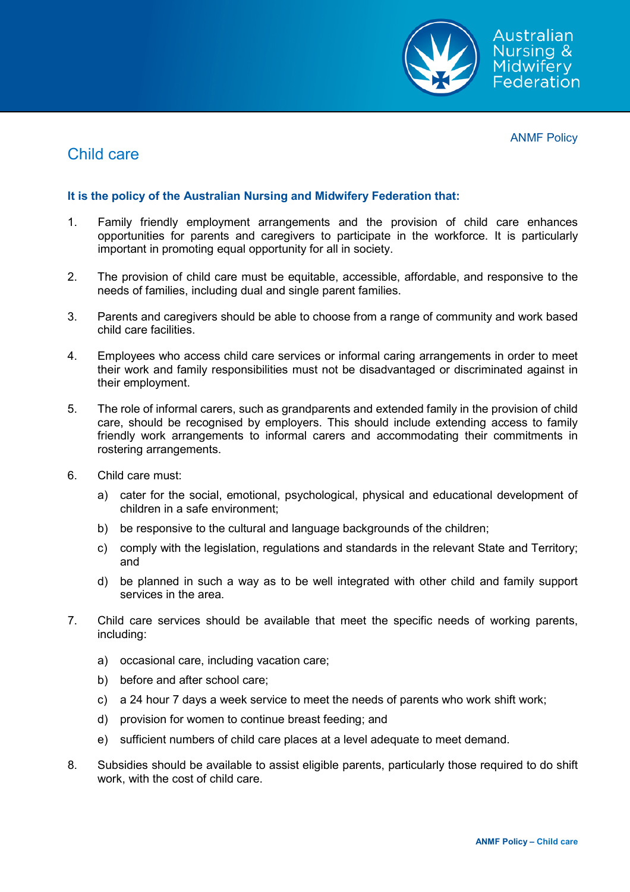

ANMF Policy

## Child care

## **It is the policy of the Australian Nursing and Midwifery Federation that:**

- 1. Family friendly employment arrangements and the provision of child care enhances opportunities for parents and caregivers to participate in the workforce. It is particularly important in promoting equal opportunity for all in society.
- 2. The provision of child care must be equitable, accessible, affordable, and responsive to the needs of families, including dual and single parent families.
- 3. Parents and caregivers should be able to choose from a range of community and work based child care facilities.
- 4. Employees who access child care services or informal caring arrangements in order to meet their work and family responsibilities must not be disadvantaged or discriminated against in their employment.
- 5. The role of informal carers, such as grandparents and extended family in the provision of child care, should be recognised by employers. This should include extending access to family friendly work arrangements to informal carers and accommodating their commitments in rostering arrangements.
- 6. Child care must:
	- a) cater for the social, emotional, psychological, physical and educational development of children in a safe environment;
	- b) be responsive to the cultural and language backgrounds of the children;
	- c) comply with the legislation, regulations and standards in the relevant State and Territory; and
	- d) be planned in such a way as to be well integrated with other child and family support services in the area.
- 7. Child care services should be available that meet the specific needs of working parents, including:
	- a) occasional care, including vacation care;
	- b) before and after school care;
	- c) a 24 hour 7 days a week service to meet the needs of parents who work shift work;
	- d) provision for women to continue breast feeding; and
	- e) sufficient numbers of child care places at a level adequate to meet demand.
- 8. Subsidies should be available to assist eligible parents, particularly those required to do shift work, with the cost of child care.